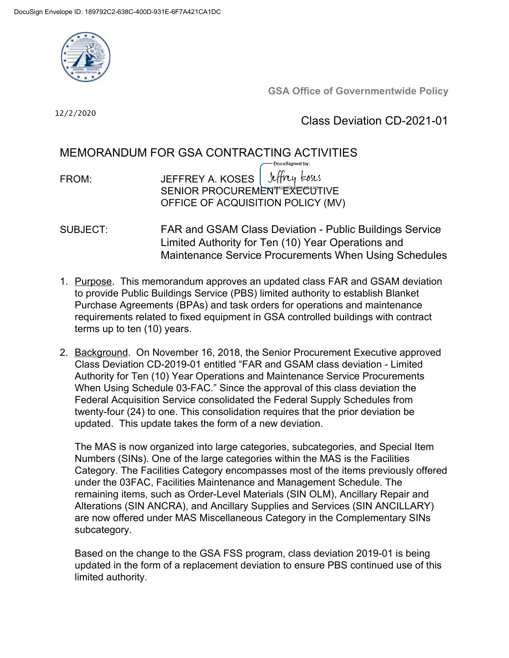

**GSA Office of Governmentwide Policy**

12/2/2020

Class Deviation CD-2021-01

# MEMORANDUM FOR GSA CONTRACTING ACTIVITIES

- Jeffrey koses FROM: JEFFREY A. KOSES SENIOR PROCUREMENT EXECUTIVE OFFICE OF ACQUISITION POLICY (MV)
- SUBJECT: FAR and GSAM Class Deviation Public Buildings Service Limited Authority for Ten (10) Year Operations and Maintenance Service Procurements When Using Schedules
- 1. Purpose. This memorandum approves an updated class FAR and GSAM deviation to provide Public Buildings Service (PBS) limited authority to establish Blanket Purchase Agreements (BPAs) and task orders for operations and maintenance requirements related to fixed equipment in GSA controlled buildings with contract terms up to ten (10) years.
- 2. Background. On November 16, 2018, the Senior Procurement Executive approved Class Deviation CD-2019-01 entitled "FAR and GSAM class deviation - Limited Authority for Ten (10) Year Operations and Maintenance Service Procurements When Using Schedule 03-FAC." Since the approval of this class deviation the Federal Acquisition Service consolidated the Federal Supply Schedules from twenty-four (24) to one. This consolidation requires that the prior deviation be updated. This update takes the form of a new deviation.

The MAS is now organized into large categories, subcategories, and Special Item Numbers (SINs). One of the large categories within the MAS is the Facilities Category. The Facilities Category encompasses most of the items previously offered under the 03FAC, Facilities Maintenance and Management Schedule. The remaining items, such as Order-Level Materials (SIN OLM), Ancillary Repair and Alterations (SIN ANCRA), and Ancillary Supplies and Services (SIN ANCILLARY) are now offered under MAS Miscellaneous Category in the Complementary SINs subcategory.

Based on the change to the GSA FSS program, class deviation 2019-01 is being updated in the form of a replacement deviation to ensure PBS continued use of this limited authority.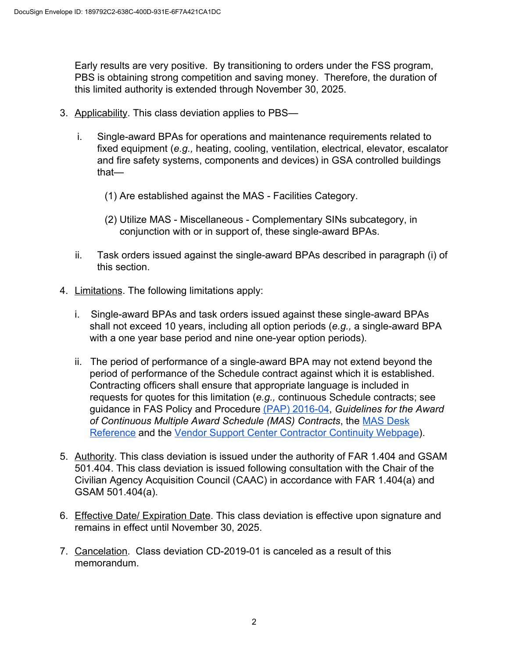Early results are very positive. By transitioning to orders under the FSS program, PBS is obtaining strong competition and saving money. Therefore, the duration of this limited authority is extended through November 30, 2025.

- 3. Applicability. This class deviation applies to PBS
	- i. Single-award BPAs for operations and maintenance requirements related to fixed equipment (*e.g.,* heating, cooling, ventilation, electrical, elevator, escalator and fire safety systems, components and devices) in GSA controlled buildings that—
		- (1) Are established against the MAS Facilities Category.
		- (2) Utilize MAS Miscellaneous Complementary SINs subcategory, in conjunction with or in support of, these single-award BPAs.
	- ii. Task orders issued against the single-award BPAs described in paragraph (i) of this section.
- 4. Limitations. The following limitations apply:
	- i. Single-award BPAs and task orders issued against these single-award BPAs shall not exceed 10 years, including all option periods (*e.g.,* a single-award BPA with a one year base period and nine one-year option periods).
	- ii. The period of performance of a single-award BPA may not extend beyond the period of performance of the Schedule contract against which it is established. Contracting officers shall ensure that appropriate language is included in requests for quotes for this limitation (*e.g.,* continuous Schedule contracts; see guidance in FAS Policy and Procedure [\(PAP\) 2016-04](https://hallways.cap.gsa.gov/app/#/gateway/fas-acquisition-policy-library/18086/pap-2016-04-guidelines-for-the-award-of-overlapping-fss-contracts-continuous-contracts), *Guidelines for the Award of Continuous Multiple Award Schedule (MAS) Contracts*, the [MAS Desk](https://hallways.cap.gsa.gov/app/#/doclib?document=34947) [Reference](https://hallways.cap.gsa.gov/app/#/doclib?document=34947) and the [Vendor Support Center Contractor Continuity Webpage](https://vsc.gsa.gov/administration/streamlined.cfm)).
- 5. Authority. This class deviation is issued under the authority of FAR 1.404 and GSAM 501.404. This class deviation is issued following consultation with the Chair of the Civilian Agency Acquisition Council (CAAC) in accordance with FAR 1.404(a) and GSAM 501.404(a).
- 6. Effective Date/ Expiration Date. This class deviation is effective upon signature and remains in effect until November 30, 2025.
- 7. Cancelation. Class deviation CD-2019-01 is canceled as a result of this memorandum.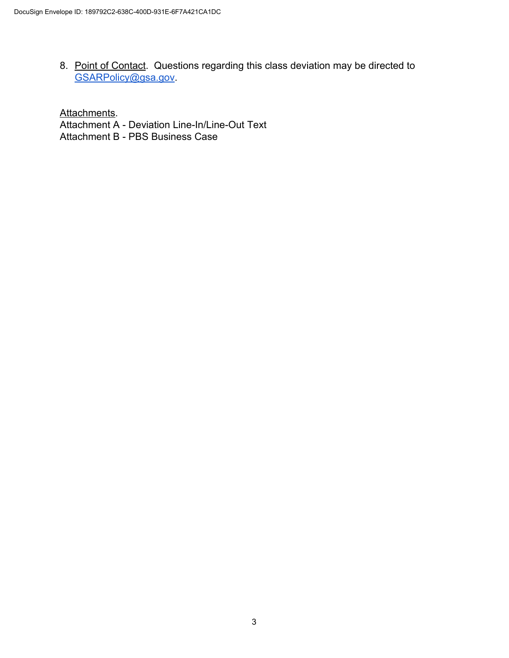8. Point of Contact. Questions regarding this class deviation may be directed to [GSARPolicy@gsa.gov](mailto:GSARPolicy@gsa.gov).

Attachments. Attachment A - Deviation Line-In/Line-Out Text Attachment B - PBS Business Case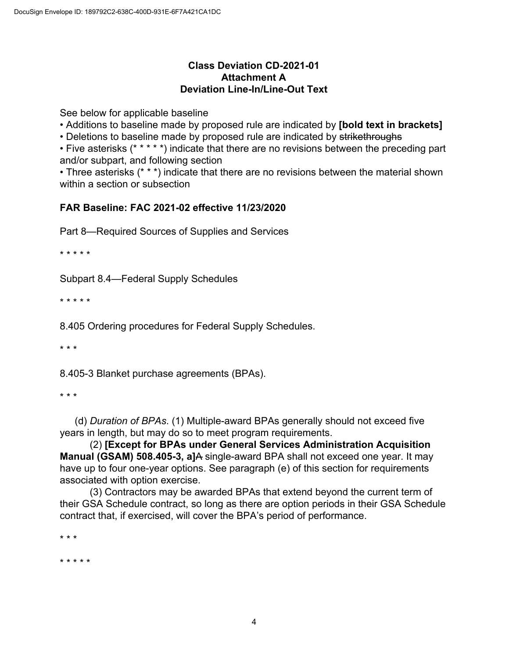## **Class Deviation CD-2021-01 Attachment A Deviation Line-In/Line-Out Text**

See below for applicable baseline

• Additions to baseline made by proposed rule are indicated by **[bold text in brackets]**

• Deletions to baseline made by proposed rule are indicated by strikethroughs

• Five asterisks (\* \* \* \* \*) indicate that there are no revisions between the preceding part and/or subpart, and following section

• Three asterisks (\* \* \*) indicate that there are no revisions between the material shown within a section or subsection

## **FAR Baseline: FAC 2021-02 effective 11/23/2020**

Part 8—Required Sources of Supplies and Services

\* \* \* \* \*

Subpart 8.4—Federal Supply Schedules

\* \* \* \* \*

8.405 Ordering procedures for Federal Supply Schedules.

\* \* \*

8.405-3 Blanket purchase agreements (BPAs).

\* \* \*

(d) *Duration of BPAs*. (1) Multiple-award BPAs generally should not exceed five years in length, but may do so to meet program requirements.

(2) **[Except for BPAs under General Services Administration Acquisition Manual (GSAM) 508.405-3, a]**A single-award BPA shall not exceed one year. It may have up to four one-year options. See paragraph (e) of this section for requirements associated with option exercise.

(3) Contractors may be awarded BPAs that extend beyond the current term of their GSA Schedule contract, so long as there are option periods in their GSA Schedule contract that, if exercised, will cover the BPA's period of performance.

\* \* \*

\* \* \* \* \*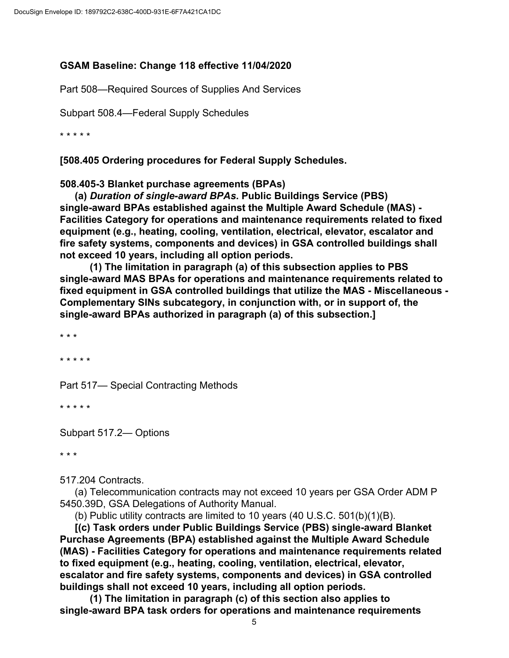## **GSAM Baseline: Change 118 effective 11/04/2020**

Part 508—Required Sources of Supplies And Services

Subpart 508.4—Federal Supply Schedules

\* \* \* \* \*

**[508.405 Ordering procedures for Federal Supply Schedules.**

**508.405-3 Blanket purchase agreements (BPAs)**

**(a)** *Duration of single-award BPAs***. Public Buildings Service (PBS) single-award BPAs established against the Multiple Award Schedule (MAS) - Facilities Category for operations and maintenance requirements related to fixed equipment (e.g., heating, cooling, ventilation, electrical, elevator, escalator and fire safety systems, components and devices) in GSA controlled buildings shall not exceed 10 years, including all option periods.**

**(1) The limitation in paragraph (a) of this subsection applies to PBS single-award MAS BPAs for operations and maintenance requirements related to fixed equipment in GSA controlled buildings that utilize the MAS - Miscellaneous - Complementary SINs subcategory, in conjunction with, or in support of, the single-award BPAs authorized in paragraph (a) of this subsection.]**

\* \* \*

\* \* \* \* \*

Part 517— Special Contracting Methods

\* \* \* \* \*

Subpart 517.2— Options

\* \* \*

517.204 Contracts.

(a) Telecommunication contracts may not exceed 10 years per GSA Order ADM P 5450.39D, GSA Delegations of Authority Manual.

(b) Public utility contracts are limited to 10 years (40 U.S.C. 501(b)(1)(B).

**[(c) Task orders under Public Buildings Service (PBS) single-award Blanket Purchase Agreements (BPA) established against the Multiple Award Schedule (MAS) - Facilities Category for operations and maintenance requirements related to fixed equipment (e.g., heating, cooling, ventilation, electrical, elevator, escalator and fire safety systems, components and devices) in GSA controlled buildings shall not exceed 10 years, including all option periods.**

**(1) The limitation in paragraph (c) of this section also applies to single-award BPA task orders for operations and maintenance requirements**

5